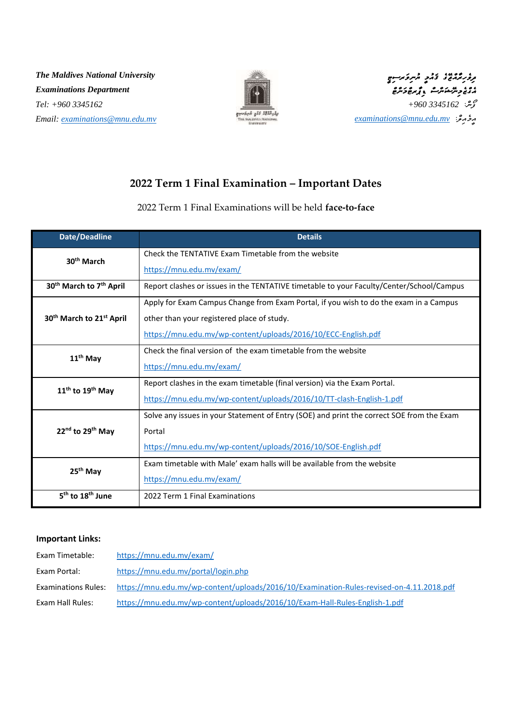*The Maldives National University Examinations Department Tel: +960 3345162 Email: [examinations@mnu.edu.mv](mailto:examinations@mnu.edu.mv)*





### **2022 Term 1 Final Examination – Important Dates**

#### 2022 Term 1 Final Examinations will be held **face-to-face**

| <b>Date/Deadline</b>                             | <b>Details</b>                                                                            |
|--------------------------------------------------|-------------------------------------------------------------------------------------------|
| 30 <sup>th</sup> March                           | Check the TENTATIVE Exam Timetable from the website                                       |
|                                                  | https://mnu.edu.mv/exam/                                                                  |
| 30 <sup>th</sup> March to 7 <sup>th</sup> April  | Report clashes or issues in the TENTATIVE timetable to your Faculty/Center/School/Campus  |
| 30 <sup>th</sup> March to 21 <sup>st</sup> April | Apply for Exam Campus Change from Exam Portal, if you wish to do the exam in a Campus     |
|                                                  | other than your registered place of study.                                                |
|                                                  | https://mnu.edu.mv/wp-content/uploads/2016/10/ECC-English.pdf                             |
| 11 <sup>th</sup> May                             | Check the final version of the exam timetable from the website                            |
|                                                  | https://mnu.edu.mv/exam/                                                                  |
| $11th$ to $19th$ May                             | Report clashes in the exam timetable (final version) via the Exam Portal.                 |
|                                                  | https://mnu.edu.mv/wp-content/uploads/2016/10/TT-clash-English-1.pdf                      |
| 22 <sup>nd</sup> to 29 <sup>th</sup> May         | Solve any issues in your Statement of Entry (SOE) and print the correct SOE from the Exam |
|                                                  | Portal                                                                                    |
|                                                  | https://mnu.edu.mv/wp-content/uploads/2016/10/SOE-English.pdf                             |
| 25 <sup>th</sup> May                             | Exam timetable with Male' exam halls will be available from the website                   |
|                                                  | https://mnu.edu.mv/exam/                                                                  |
| 5 <sup>th</sup> to 18 <sup>th</sup> June         | 2022 Term 1 Final Examinations                                                            |

#### **Important Links:**

| Exam Timetable:            | https://mnu.edu.mv/exam/                                                                 |
|----------------------------|------------------------------------------------------------------------------------------|
| Exam Portal:               | https://mnu.edu.mv/portal/login.php                                                      |
| <b>Examinations Rules:</b> | https://mnu.edu.mv/wp-content/uploads/2016/10/Examination-Rules-revised-on-4.11.2018.pdf |
| Exam Hall Rules:           | https://mnu.edu.mv/wp-content/uploads/2016/10/Exam-Hall-Rules-English-1.pdf              |